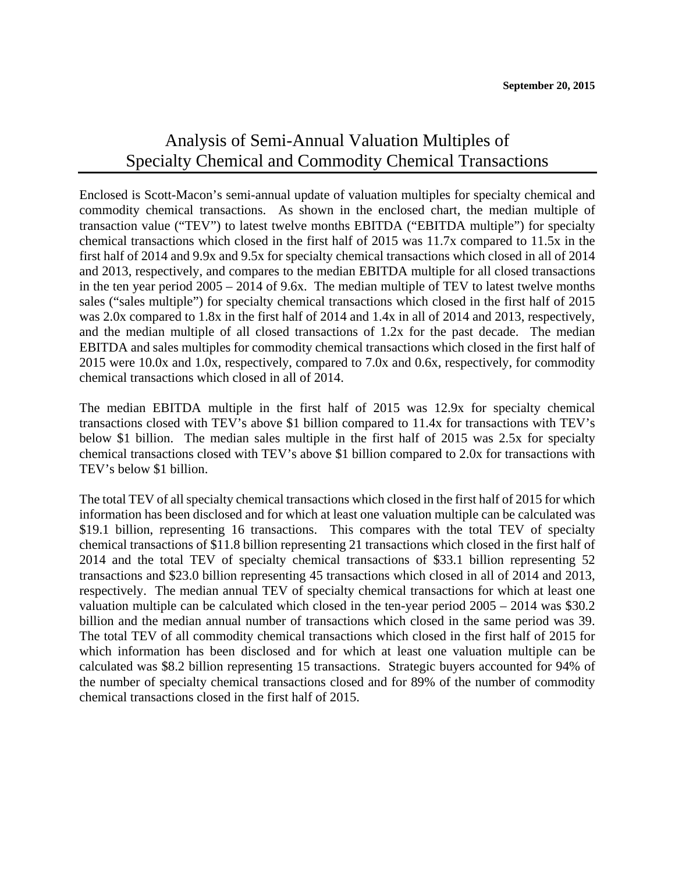## Analysis of Semi-Annual Valuation Multiples of Specialty Chemical and Commodity Chemical Transactions

Enclosed is Scott-Macon's semi-annual update of valuation multiples for specialty chemical and commodity chemical transactions. As shown in the enclosed chart, the median multiple of transaction value ("TEV") to latest twelve months EBITDA ("EBITDA multiple") for specialty chemical transactions which closed in the first half of 2015 was 11.7x compared to 11.5x in the first half of 2014 and 9.9x and 9.5x for specialty chemical transactions which closed in all of 2014 and 2013, respectively, and compares to the median EBITDA multiple for all closed transactions in the ten year period 2005 – 2014 of 9.6x. The median multiple of TEV to latest twelve months sales ("sales multiple") for specialty chemical transactions which closed in the first half of 2015 was 2.0x compared to 1.8x in the first half of 2014 and 1.4x in all of 2014 and 2013, respectively, and the median multiple of all closed transactions of 1.2x for the past decade. The median EBITDA and sales multiples for commodity chemical transactions which closed in the first half of 2015 were 10.0x and 1.0x, respectively, compared to 7.0x and 0.6x, respectively, for commodity chemical transactions which closed in all of 2014.

The median EBITDA multiple in the first half of 2015 was 12.9x for specialty chemical transactions closed with TEV's above \$1 billion compared to 11.4x for transactions with TEV's below \$1 billion. The median sales multiple in the first half of 2015 was 2.5x for specialty chemical transactions closed with TEV's above \$1 billion compared to 2.0x for transactions with TEV's below \$1 billion.

The total TEV of all specialty chemical transactions which closed in the first half of 2015 for which information has been disclosed and for which at least one valuation multiple can be calculated was \$19.1 billion, representing 16 transactions. This compares with the total TEV of specialty chemical transactions of \$11.8 billion representing 21 transactions which closed in the first half of 2014 and the total TEV of specialty chemical transactions of \$33.1 billion representing 52 transactions and \$23.0 billion representing 45 transactions which closed in all of 2014 and 2013, respectively. The median annual TEV of specialty chemical transactions for which at least one valuation multiple can be calculated which closed in the ten-year period 2005 – 2014 was \$30.2 billion and the median annual number of transactions which closed in the same period was 39. The total TEV of all commodity chemical transactions which closed in the first half of 2015 for which information has been disclosed and for which at least one valuation multiple can be calculated was \$8.2 billion representing 15 transactions. Strategic buyers accounted for 94% of the number of specialty chemical transactions closed and for 89% of the number of commodity chemical transactions closed in the first half of 2015.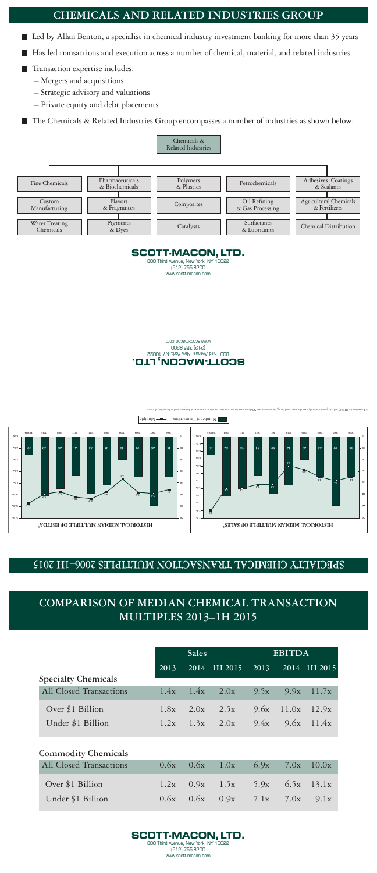## COMPARISON OF MEDIAN CHEMICAL TRANSACTION **MULTIPLES 2013-1H 2015**

|                                | <b>Sales</b> |      |                                  | <b>EBITDA</b> |              |                       |
|--------------------------------|--------------|------|----------------------------------|---------------|--------------|-----------------------|
|                                | 2013         |      | 2014 1H 2015 2013 2014 1H 2015   |               |              |                       |
| <b>Specialty Chemicals</b>     |              |      |                                  |               |              |                       |
| All Closed Transactions        | 1.4x         |      | $1.4x$ 2.0x                      | 9.5x          |              | $9.9x$ 11.7x          |
| Over \$1 Billion               | 1.8x         | 2.0x | 2.5x                             |               | $9.6x$ 11.0x | 12.9x                 |
| Under \$1 Billion              |              |      | $1.2x$ $1.3x$ $2.0x$             |               |              | $9.4x$ $9.6x$ $11.4x$ |
| <b>Commodity Chemicals</b>     |              |      |                                  |               |              |                       |
| <b>All Closed Transactions</b> | 0.6x         | 0.6x | 1.0x                             | 6.9x          | 7.0x         | 10.0x                 |
| Over \$1 Billion               |              |      | 1.2x $0.9x$ 1.5x 5.9x 6.5x 13.1x |               |              |                       |





 $9.1x$ 

www.scott-macon.com